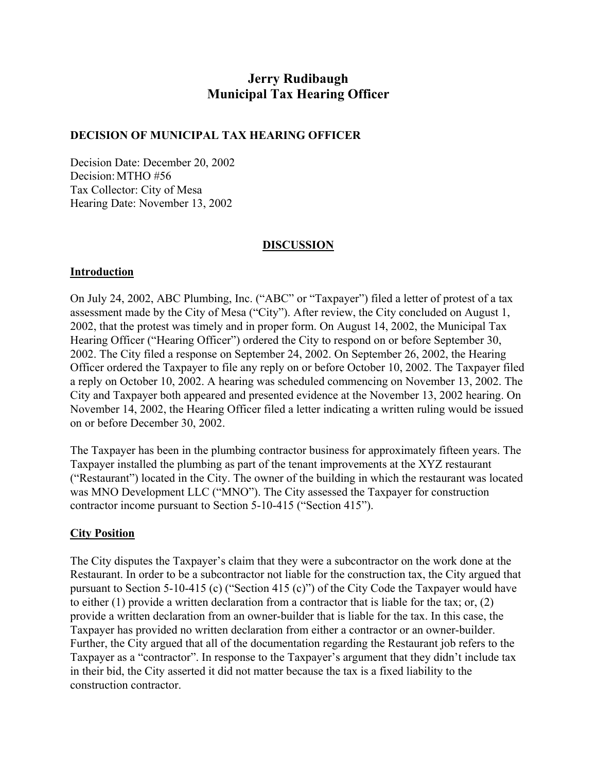# **Jerry Rudibaugh Municipal Tax Hearing Officer**

## **DECISION OF MUNICIPAL TAX HEARING OFFICER**

Decision Date: December 20, 2002 Decision: MTHO #56 Tax Collector: City of Mesa Hearing Date: November 13, 2002

## **DISCUSSION**

#### **Introduction**

On July 24, 2002, ABC Plumbing, Inc. ("ABC" or "Taxpayer") filed a letter of protest of a tax assessment made by the City of Mesa ("City"). After review, the City concluded on August 1, 2002, that the protest was timely and in proper form. On August 14, 2002, the Municipal Tax Hearing Officer ("Hearing Officer") ordered the City to respond on or before September 30, 2002. The City filed a response on September 24, 2002. On September 26, 2002, the Hearing Officer ordered the Taxpayer to file any reply on or before October 10, 2002. The Taxpayer filed a reply on October 10, 2002. A hearing was scheduled commencing on November 13, 2002. The City and Taxpayer both appeared and presented evidence at the November 13, 2002 hearing. On November 14, 2002, the Hearing Officer filed a letter indicating a written ruling would be issued on or before December 30, 2002.

The Taxpayer has been in the plumbing contractor business for approximately fifteen years. The Taxpayer installed the plumbing as part of the tenant improvements at the XYZ restaurant ("Restaurant") located in the City. The owner of the building in which the restaurant was located was MNO Development LLC ("MNO"). The City assessed the Taxpayer for construction contractor income pursuant to Section 5-10-415 ("Section 415").

#### **City Position**

The City disputes the Taxpayer's claim that they were a subcontractor on the work done at the Restaurant. In order to be a subcontractor not liable for the construction tax, the City argued that pursuant to Section 5-10-415 (c) ("Section 415 (c)") of the City Code the Taxpayer would have to either (1) provide a written declaration from a contractor that is liable for the tax; or, (2) provide a written declaration from an owner-builder that is liable for the tax. In this case, the Taxpayer has provided no written declaration from either a contractor or an owner-builder. Further, the City argued that all of the documentation regarding the Restaurant job refers to the Taxpayer as a "contractor". In response to the Taxpayer's argument that they didn't include tax in their bid, the City asserted it did not matter because the tax is a fixed liability to the construction contractor.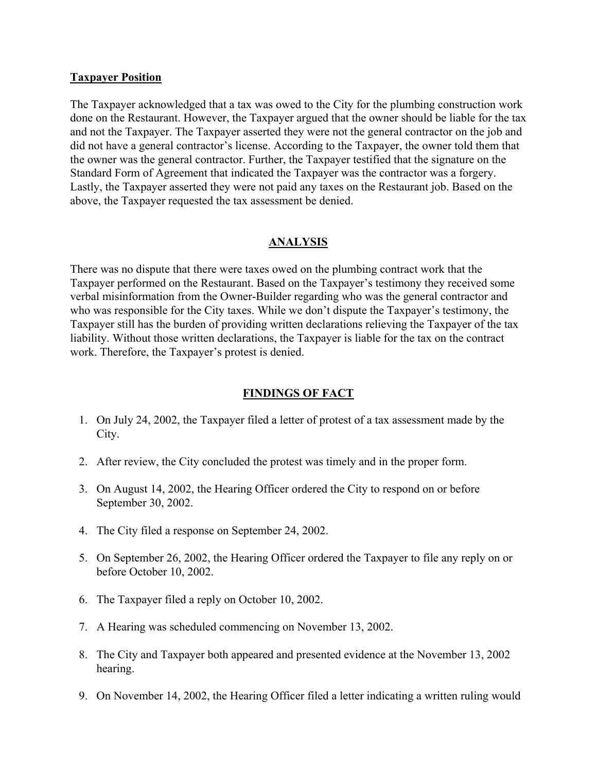#### **Taxpayer Position**

The Taxpayer acknowledged that a tax was owed to the City for the plumbing construction work done on the Restaurant. However, the Taxpayer argued that the owner should be liable for the tax and not the Taxpayer. The Taxpayer asserted they were not the general contractor on the job and did not have a general contractor's license. According to the Taxpayer, the owner told them that the owner was the general contractor. Further, the Taxpayer testified that the signature on the Standard Form of Agreement that indicated the Taxpayer was the contractor was a forgery. Lastly, the Taxpayer asserted they were not paid any taxes on the Restaurant job. Based on the above, the Taxpayer requested the tax assessment be denied.

# **ANALYSIS**

There was no dispute that there were taxes owed on the plumbing contract work that the Taxpayer performed on the Restaurant. Based on the Taxpayer's testimony they received some verbal misinformation from the Owner-Builder regarding who was the general contractor and who was responsible for the City taxes. While we don't dispute the Taxpayer's testimony, the Taxpayer still has the burden of providing written declarations relieving the Taxpayer of the tax liability. Without those written declarations, the Taxpayer is liable for the tax on the contract work. Therefore, the Taxpayer's protest is denied.

### **FINDINGS OF FACT**

- 1. On July 24, 2002, the Taxpayer filed a letter of protest of a tax assessment made by the City.
- 2. After review, the City concluded the protest was timely and in the proper form.
- 3. On August 14, 2002, the Hearing Officer ordered the City to respond on or before September 30, 2002.
- 4. The City filed a response on September 24, 2002.
- 5. On September 26, 2002, the Hearing Officer ordered the Taxpayer to file any reply on or before October 10, 2002.
- 6. The Taxpayer filed a reply on October 10, 2002.
- 7. A Hearing was scheduled commencing on November 13, 2002.
- 8. The City and Taxpayer both appeared and presented evidence at the November 13, 2002 hearing.
- 9. On November 14, 2002, the Hearing Officer filed a letter indicating a written ruling would